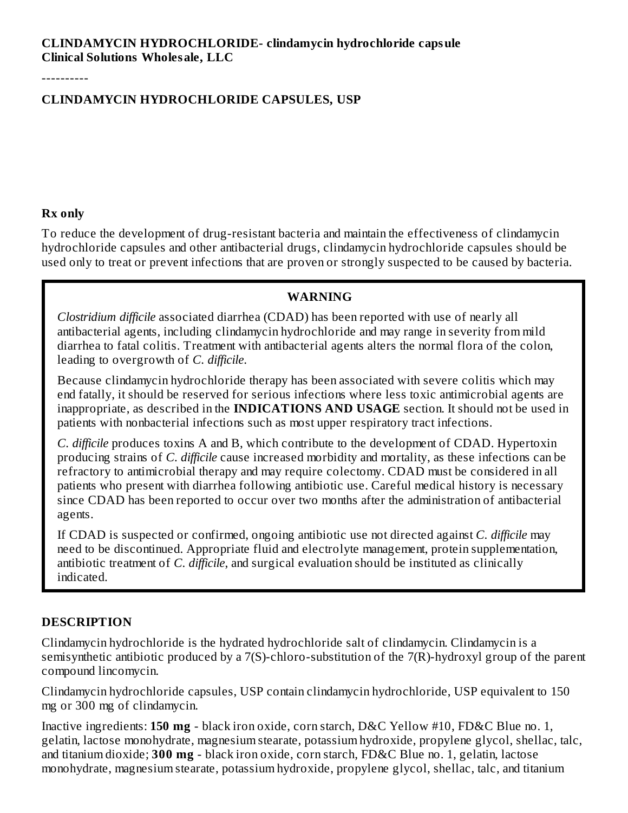### **CLINDAMYCIN HYDROCHLORIDE- clindamycin hydrochloride capsule Clinical Solutions Wholesale, LLC**

----------

### **CLINDAMYCIN HYDROCHLORIDE CAPSULES, USP**

#### **Rx only**

To reduce the development of drug-resistant bacteria and maintain the effectiveness of clindamycin hydrochloride capsules and other antibacterial drugs, clindamycin hydrochloride capsules should be used only to treat or prevent infections that are proven or strongly suspected to be caused by bacteria.

### **WARNING**

*Clostridium difficile* associated diarrhea (CDAD) has been reported with use of nearly all antibacterial agents, including clindamycin hydrochloride and may range in severity from mild diarrhea to fatal colitis. Treatment with antibacterial agents alters the normal flora of the colon, leading to overgrowth of *C. difficile*.

Because clindamycin hydrochloride therapy has been associated with severe colitis which may end fatally, it should be reserved for serious infections where less toxic antimicrobial agents are inappropriate, as described in the **INDICATIONS AND USAGE** section. It should not be used in patients with nonbacterial infections such as most upper respiratory tract infections.

*C. difficile* produces toxins A and B, which contribute to the development of CDAD. Hypertoxin producing strains of *C. difficile* cause increased morbidity and mortality, as these infections can be refractory to antimicrobial therapy and may require colectomy. CDAD must be considered in all patients who present with diarrhea following antibiotic use. Careful medical history is necessary since CDAD has been reported to occur over two months after the administration of antibacterial agents.

If CDAD is suspected or confirmed, ongoing antibiotic use not directed against *C. difficile* may need to be discontinued. Appropriate fluid and electrolyte management, protein supplementation, antibiotic treatment of *C. difficile*, and surgical evaluation should be instituted as clinically indicated.

### **DESCRIPTION**

Clindamycin hydrochloride is the hydrated hydrochloride salt of clindamycin. Clindamycin is a semisynthetic antibiotic produced by a 7(S)-chloro-substitution of the 7(R)-hydroxyl group of the parent compound lincomycin.

Clindamycin hydrochloride capsules, USP contain clindamycin hydrochloride, USP equivalent to 150 mg or 300 mg of clindamycin.

Inactive ingredients: **150 mg** - black iron oxide, corn starch, D&C Yellow #10, FD&C Blue no. 1, gelatin, lactose monohydrate, magnesium stearate, potassium hydroxide, propylene glycol, shellac, talc, and titanium dioxide; **300 mg** - black iron oxide, corn starch, FD&C Blue no. 1, gelatin, lactose monohydrate, magnesium stearate, potassium hydroxide, propylene glycol, shellac, talc, and titanium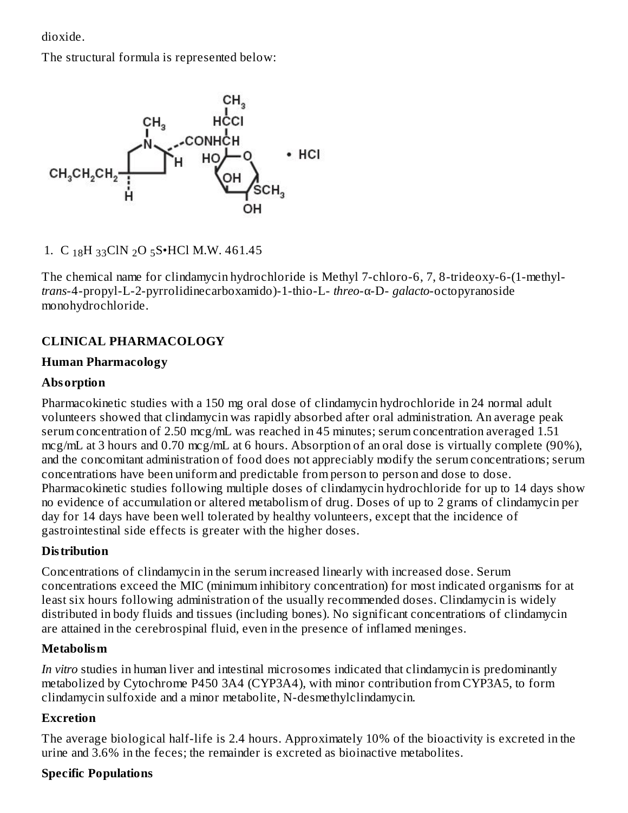dioxide.

The structural formula is represented below:



1. C  $_{18}$ H  $_{33}$ ClN  $_{2}$ O  $_{5}$ S•HCl M.W. 461.45

The chemical name for clindamycin hydrochloride is Methyl 7-chloro-6, 7, 8-trideoxy-6-(1-methyl*trans*-4-propyl-L-2-pyrrolidinecarboxamido)-1-thio-L- *threo*-α-D- *galacto*-octopyranoside monohydrochloride.

## **CLINICAL PHARMACOLOGY**

### **Human Pharmacology**

### **Absorption**

Pharmacokinetic studies with a 150 mg oral dose of clindamycin hydrochloride in 24 normal adult volunteers showed that clindamycin was rapidly absorbed after oral administration. An average peak serum concentration of 2.50 mcg/mL was reached in 45 minutes; serum concentration averaged 1.51 mcg/mL at 3 hours and 0.70 mcg/mL at 6 hours. Absorption of an oral dose is virtually complete (90%), and the concomitant administration of food does not appreciably modify the serum concentrations; serum concentrations have been uniform and predictable from person to person and dose to dose. Pharmacokinetic studies following multiple doses of clindamycin hydrochloride for up to 14 days show no evidence of accumulation or altered metabolism of drug. Doses of up to 2 grams of clindamycin per day for 14 days have been well tolerated by healthy volunteers, except that the incidence of gastrointestinal side effects is greater with the higher doses.

### **Distribution**

Concentrations of clindamycin in the serum increased linearly with increased dose. Serum concentrations exceed the MIC (minimum inhibitory concentration) for most indicated organisms for at least six hours following administration of the usually recommended doses. Clindamycin is widely distributed in body fluids and tissues (including bones). No significant concentrations of clindamycin are attained in the cerebrospinal fluid, even in the presence of inflamed meninges.

#### **Metabolism**

*In vitro* studies in human liver and intestinal microsomes indicated that clindamycin is predominantly metabolized by Cytochrome P450 3A4 (CYP3A4), with minor contribution from CYP3A5, to form clindamycin sulfoxide and a minor metabolite, N-desmethylclindamycin.

#### **Excretion**

The average biological half-life is 2.4 hours. Approximately 10% of the bioactivity is excreted in the urine and 3.6% in the feces; the remainder is excreted as bioinactive metabolites.

### **Specific Populations**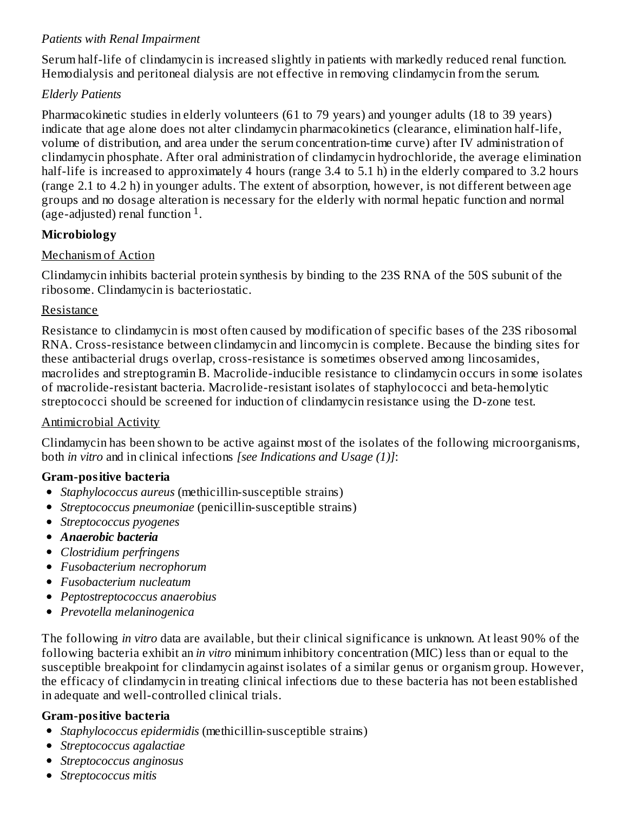### *Patients with Renal Impairment*

Serum half-life of clindamycin is increased slightly in patients with markedly reduced renal function. Hemodialysis and peritoneal dialysis are not effective in removing clindamycin from the serum.

### *Elderly Patients*

Pharmacokinetic studies in elderly volunteers (61 to 79 years) and younger adults (18 to 39 years) indicate that age alone does not alter clindamycin pharmacokinetics (clearance, elimination half-life, volume of distribution, and area under the serum concentration-time curve) after IV administration of clindamycin phosphate. After oral administration of clindamycin hydrochloride, the average elimination half-life is increased to approximately 4 hours (range 3.4 to 5.1 h) in the elderly compared to 3.2 hours (range 2.1 to 4.2 h) in younger adults. The extent of absorption, however, is not different between age groups and no dosage alteration is necessary for the elderly with normal hepatic function and normal (age-adjusted) renal function  $1$ .

### **Microbiology**

### Mechanism of Action

Clindamycin inhibits bacterial protein synthesis by binding to the 23S RNA of the 50S subunit of the ribosome. Clindamycin is bacteriostatic.

### Resistance

Resistance to clindamycin is most often caused by modification of specific bases of the 23S ribosomal RNA. Cross-resistance between clindamycin and lincomycin is complete. Because the binding sites for these antibacterial drugs overlap, cross-resistance is sometimes observed among lincosamides, macrolides and streptogramin B. Macrolide-inducible resistance to clindamycin occurs in some isolates of macrolide-resistant bacteria. Macrolide-resistant isolates of staphylococci and beta-hemolytic streptococci should be screened for induction of clindamycin resistance using the D-zone test.

### Antimicrobial Activity

Clindamycin has been shown to be active against most of the isolates of the following microorganisms, both *in vitro* and in clinical infections *[see Indications and Usage (1)]*:

#### **Gram-positive bacteria**

- *Staphylococcus aureus* (methicillin-susceptible strains)
- *Streptococcus pneumoniae* (penicillin-susceptible strains)
- *Streptococcus pyogenes*
- *Anaerobic bacteria*
- *Clostridium perfringens*
- *Fusobacterium necrophorum*
- *Fusobacterium nucleatum*
- *Peptostreptococcus anaerobius*
- *Prevotella melaninogenica*

The following *in vitro* data are available, but their clinical significance is unknown. At least 90% of the following bacteria exhibit an *in vitro* minimum inhibitory concentration (MIC) less than or equal to the susceptible breakpoint for clindamycin against isolates of a similar genus or organism group. However, the efficacy of clindamycin in treating clinical infections due to these bacteria has not been established in adequate and well-controlled clinical trials.

#### **Gram-positive bacteria**

- *Staphylococcus epidermidis* (methicillin-susceptible strains)
- *Streptococcus agalactiae*
- *Streptococcus anginosus*
- *Streptococcus mitis*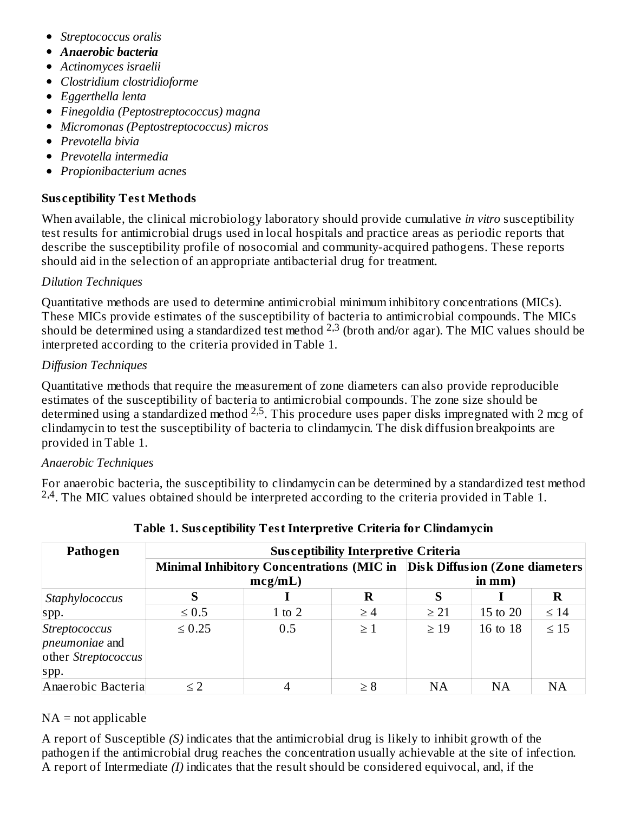- *Streptococcus oralis*  $\bullet$
- *Anaerobic bacteria*
- *Actinomyces israelii*
- *Clostridium clostridioforme*
- *Eggerthella lenta*
- *Finegoldia (Peptostreptococcus) magna*
- *Micromonas (Peptostreptococcus) micros*
- *Prevotella bivia*
- *Prevotella intermedia*
- *Propionibacterium acnes*

## **Sus ceptibility Test Methods**

When available, the clinical microbiology laboratory should provide cumulative *in vitro* susceptibility test results for antimicrobial drugs used in local hospitals and practice areas as periodic reports that describe the susceptibility profile of nosocomial and community-acquired pathogens. These reports should aid in the selection of an appropriate antibacterial drug for treatment.

### *Dilution Techniques*

Quantitative methods are used to determine antimicrobial minimum inhibitory concentrations (MICs). These MICs provide estimates of the susceptibility of bacteria to antimicrobial compounds. The MICs should be determined using a standardized test method <sup>2,3</sup> (broth and/or agar). The MIC values should be interpreted according to the criteria provided in Table 1.

## *Diffusion Techniques*

Quantitative methods that require the measurement of zone diameters can also provide reproducible estimates of the susceptibility of bacteria to antimicrobial compounds. The zone size should be determined using a standardized method <sup>2,5</sup>. This procedure uses paper disks impregnated with 2 mcg of clindamycin to test the susceptibility of bacteria to clindamycin. The disk diffusion breakpoints are provided in Table 1.

### *Anaerobic Techniques*

For anaerobic bacteria, the susceptibility to clindamycin can be determined by a standardized test method  $2.4$ . The MIC values obtained should be interpreted according to the criteria provided in Table 1.

| Pathogen                                                       | <b>Sus ceptibility Interpretive Criteria</b>                                        |            |          |           |          |           |
|----------------------------------------------------------------|-------------------------------------------------------------------------------------|------------|----------|-----------|----------|-----------|
|                                                                | Minimal Inhibitory Concentrations (MIC in Disk Diffusion (Zone diameters<br>mcg/mL) |            |          |           | in mm)   |           |
| Staphylococcus                                                 |                                                                                     |            | R        | S         |          | R         |
| spp.                                                           | $\leq 0.5$                                                                          | $1$ to $2$ | $\geq 4$ | $\geq 21$ | 15 to 20 | $\leq 14$ |
| Streptococcus<br>pneumoniae and<br>other Streptococcus<br>spp. | $\leq 0.25$                                                                         | 0.5        | $\geq 1$ | $\geq 19$ | 16 to 18 | $\leq 15$ |
| Anaerobic Bacteria                                             | $\langle$ 2                                                                         |            | > 8      | <b>NA</b> | NA       | NΑ        |

## **Table 1. Sus ceptibility Test Interpretive Criteria for Clindamycin**

### $NA = not applicable$

A report of Susceptible *(S)* indicates that the antimicrobial drug is likely to inhibit growth of the pathogen if the antimicrobial drug reaches the concentration usually achievable at the site of infection. A report of Intermediate *(I)* indicates that the result should be considered equivocal, and, if the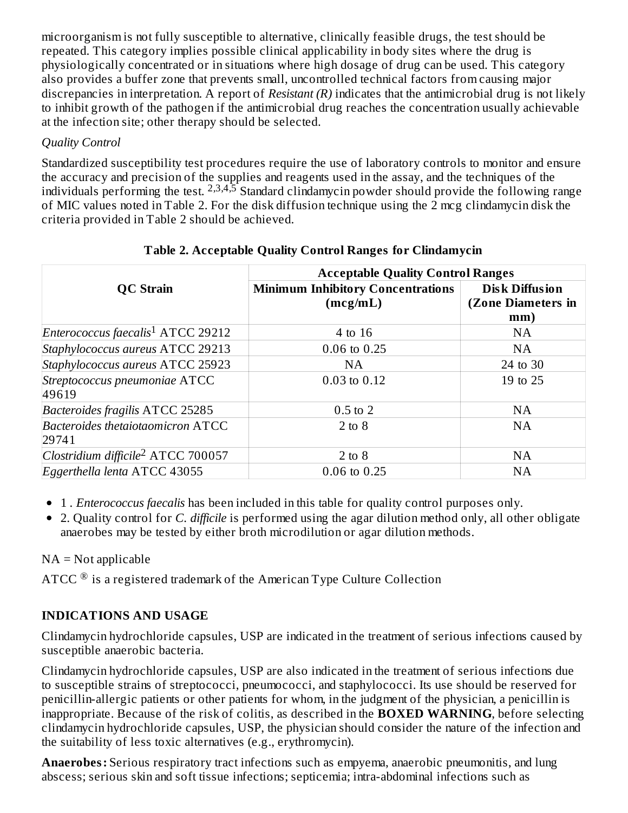microorganism is not fully susceptible to alternative, clinically feasible drugs, the test should be repeated. This category implies possible clinical applicability in body sites where the drug is physiologically concentrated or in situations where high dosage of drug can be used. This category also provides a buffer zone that prevents small, uncontrolled technical factors from causing major discrepancies in interpretation. A report of *Resistant (R)* indicates that the antimicrobial drug is not likely to inhibit growth of the pathogen if the antimicrobial drug reaches the concentration usually achievable at the infection site; other therapy should be selected.

## *Quality Control*

Standardized susceptibility test procedures require the use of laboratory controls to monitor and ensure the accuracy and precision of the supplies and reagents used in the assay, and the techniques of the individuals performing the test.  $2,3,4,5$  Standard clindamycin powder should provide the following range of MIC values noted in Table 2. For the disk diffusion technique using the 2 mcg clindamycin disk the criteria provided in Table 2 should be achieved.

|                                                | <b>Acceptable Quality Control Ranges</b>             |                                                    |  |  |
|------------------------------------------------|------------------------------------------------------|----------------------------------------------------|--|--|
| <b>QC</b> Strain                               | <b>Minimum Inhibitory Concentrations</b><br>(mcg/mL) | <b>Disk Diffusion</b><br>(Zone Diameters in<br>mm) |  |  |
| Enterococcus faecalis <sup>1</sup> ATCC 29212  | 4 to 16                                              | <b>NA</b>                                          |  |  |
| Staphylococcus aureus ATCC 29213               | $0.06$ to $0.25$                                     | <b>NA</b>                                          |  |  |
| Staphylococcus aureus ATCC 25923               | <b>NA</b>                                            | 24 to 30                                           |  |  |
| Streptococcus pneumoniae ATCC<br>49619         | $0.03$ to $0.12$                                     | 19 to 25                                           |  |  |
| Bacteroides fragilis ATCC 25285                | $0.5$ to $2$                                         | <b>NA</b>                                          |  |  |
| Bacteroides thetaiotaomicron ATCC<br>29741     | $2$ to $8$                                           | <b>NA</b>                                          |  |  |
| Clostridium difficile <sup>2</sup> ATCC 700057 | $2$ to $8$                                           | <b>NA</b>                                          |  |  |
| Eggerthella lenta ATCC 43055                   | 0.06 to 0.25                                         | NA                                                 |  |  |

## **Table 2. Acceptable Quality Control Ranges for Clindamycin**

1 *. Enterococcus faecalis* has been included in this table for quality control purposes only.

2. Quality control for *C. difficile* is performed using the agar dilution method only, all other obligate anaerobes may be tested by either broth microdilution or agar dilution methods.

 $NA = Not$  applicable

ATCC  $^\circledR$  is a registered trademark of the American Type Culture Collection

# **INDICATIONS AND USAGE**

Clindamycin hydrochloride capsules, USP are indicated in the treatment of serious infections caused by susceptible anaerobic bacteria.

Clindamycin hydrochloride capsules, USP are also indicated in the treatment of serious infections due to susceptible strains of streptococci, pneumococci, and staphylococci. Its use should be reserved for penicillin-allergic patients or other patients for whom, in the judgment of the physician, a penicillin is inappropriate. Because of the risk of colitis, as described in the **BOXED WARNING**, before selecting clindamycin hydrochloride capsules, USP, the physician should consider the nature of the infection and the suitability of less toxic alternatives (e.g., erythromycin).

**Anaerobes:** Serious respiratory tract infections such as empyema, anaerobic pneumonitis, and lung abscess; serious skin and soft tissue infections; septicemia; intra-abdominal infections such as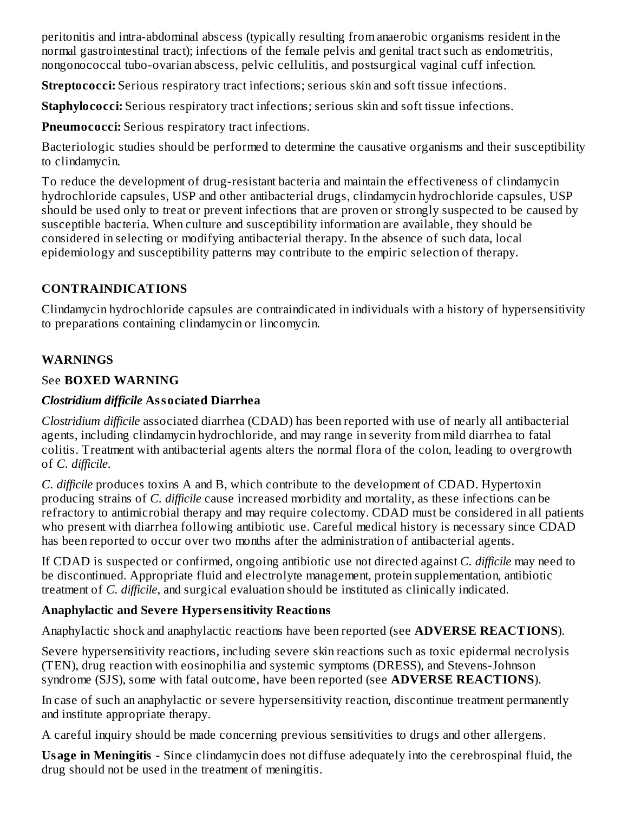peritonitis and intra-abdominal abscess (typically resulting from anaerobic organisms resident in the normal gastrointestinal tract); infections of the female pelvis and genital tract such as endometritis, nongonococcal tubo-ovarian abscess, pelvic cellulitis, and postsurgical vaginal cuff infection.

**Streptococci:** Serious respiratory tract infections; serious skin and soft tissue infections.

**Staphylococci:** Serious respiratory tract infections; serious skin and soft tissue infections.

**Pneumococci:** Serious respiratory tract infections.

Bacteriologic studies should be performed to determine the causative organisms and their susceptibility to clindamycin.

To reduce the development of drug-resistant bacteria and maintain the effectiveness of clindamycin hydrochloride capsules, USP and other antibacterial drugs, clindamycin hydrochloride capsules, USP should be used only to treat or prevent infections that are proven or strongly suspected to be caused by susceptible bacteria. When culture and susceptibility information are available, they should be considered in selecting or modifying antibacterial therapy. In the absence of such data, local epidemiology and susceptibility patterns may contribute to the empiric selection of therapy.

# **CONTRAINDICATIONS**

Clindamycin hydrochloride capsules are contraindicated in individuals with a history of hypersensitivity to preparations containing clindamycin or lincomycin.

# **WARNINGS**

# See **BOXED WARNING**

# *Clostridium difficile* **Associated Diarrhea**

*Clostridium difficile* associated diarrhea (CDAD) has been reported with use of nearly all antibacterial agents, including clindamycin hydrochloride, and may range in severity from mild diarrhea to fatal colitis. Treatment with antibacterial agents alters the normal flora of the colon, leading to overgrowth of *C. difficile*.

*C. difficile* produces toxins A and B, which contribute to the development of CDAD. Hypertoxin producing strains of *C. difficile* cause increased morbidity and mortality, as these infections can be refractory to antimicrobial therapy and may require colectomy. CDAD must be considered in all patients who present with diarrhea following antibiotic use. Careful medical history is necessary since CDAD has been reported to occur over two months after the administration of antibacterial agents.

If CDAD is suspected or confirmed, ongoing antibiotic use not directed against *C. difficile* may need to be discontinued. Appropriate fluid and electrolyte management, protein supplementation, antibiotic treatment of *C. difficile*, and surgical evaluation should be instituted as clinically indicated.

# **Anaphylactic and Severe Hypers ensitivity Reactions**

Anaphylactic shock and anaphylactic reactions have been reported (see **ADVERSE REACTIONS**).

Severe hypersensitivity reactions, including severe skin reactions such as toxic epidermal necrolysis (TEN), drug reaction with eosinophilia and systemic symptoms (DRESS), and Stevens-Johnson syndrome (SJS), some with fatal outcome, have been reported (see **ADVERSE REACTIONS**).

In case of such an anaphylactic or severe hypersensitivity reaction, discontinue treatment permanently and institute appropriate therapy.

A careful inquiry should be made concerning previous sensitivities to drugs and other allergens.

**Usage in Meningitis -** Since clindamycin does not diffuse adequately into the cerebrospinal fluid, the drug should not be used in the treatment of meningitis.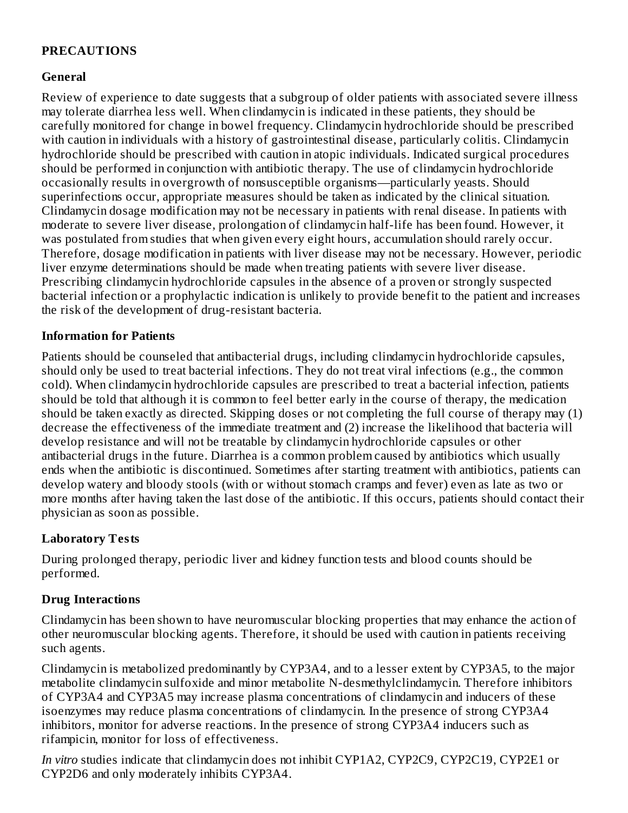### **PRECAUTIONS**

### **General**

Review of experience to date suggests that a subgroup of older patients with associated severe illness may tolerate diarrhea less well. When clindamycin is indicated in these patients, they should be carefully monitored for change in bowel frequency. Clindamycin hydrochloride should be prescribed with caution in individuals with a history of gastrointestinal disease, particularly colitis. Clindamycin hydrochloride should be prescribed with caution in atopic individuals. Indicated surgical procedures should be performed in conjunction with antibiotic therapy. The use of clindamycin hydrochloride occasionally results in overgrowth of nonsusceptible organisms—particularly yeasts. Should superinfections occur, appropriate measures should be taken as indicated by the clinical situation. Clindamycin dosage modification may not be necessary in patients with renal disease. In patients with moderate to severe liver disease, prolongation of clindamycin half-life has been found. However, it was postulated from studies that when given every eight hours, accumulation should rarely occur. Therefore, dosage modification in patients with liver disease may not be necessary. However, periodic liver enzyme determinations should be made when treating patients with severe liver disease. Prescribing clindamycin hydrochloride capsules in the absence of a proven or strongly suspected bacterial infection or a prophylactic indication is unlikely to provide benefit to the patient and increases the risk of the development of drug-resistant bacteria.

#### **Information for Patients**

Patients should be counseled that antibacterial drugs, including clindamycin hydrochloride capsules, should only be used to treat bacterial infections. They do not treat viral infections (e.g., the common cold). When clindamycin hydrochloride capsules are prescribed to treat a bacterial infection, patients should be told that although it is common to feel better early in the course of therapy, the medication should be taken exactly as directed. Skipping doses or not completing the full course of therapy may (1) decrease the effectiveness of the immediate treatment and (2) increase the likelihood that bacteria will develop resistance and will not be treatable by clindamycin hydrochloride capsules or other antibacterial drugs in the future. Diarrhea is a common problem caused by antibiotics which usually ends when the antibiotic is discontinued. Sometimes after starting treatment with antibiotics, patients can develop watery and bloody stools (with or without stomach cramps and fever) even as late as two or more months after having taken the last dose of the antibiotic. If this occurs, patients should contact their physician as soon as possible.

#### **Laboratory Tests**

During prolonged therapy, periodic liver and kidney function tests and blood counts should be performed.

#### **Drug Interactions**

Clindamycin has been shown to have neuromuscular blocking properties that may enhance the action of other neuromuscular blocking agents. Therefore, it should be used with caution in patients receiving such agents.

Clindamycin is metabolized predominantly by CYP3A4, and to a lesser extent by CYP3A5, to the major metabolite clindamycin sulfoxide and minor metabolite N-desmethylclindamycin. Therefore inhibitors of CYP3A4 and CYP3A5 may increase plasma concentrations of clindamycin and inducers of these isoenzymes may reduce plasma concentrations of clindamycin. In the presence of strong CYP3A4 inhibitors, monitor for adverse reactions. In the presence of strong CYP3A4 inducers such as rifampicin, monitor for loss of effectiveness.

*In vitro* studies indicate that clindamycin does not inhibit CYP1A2, CYP2C9, CYP2C19, CYP2E1 or CYP2D6 and only moderately inhibits CYP3A4.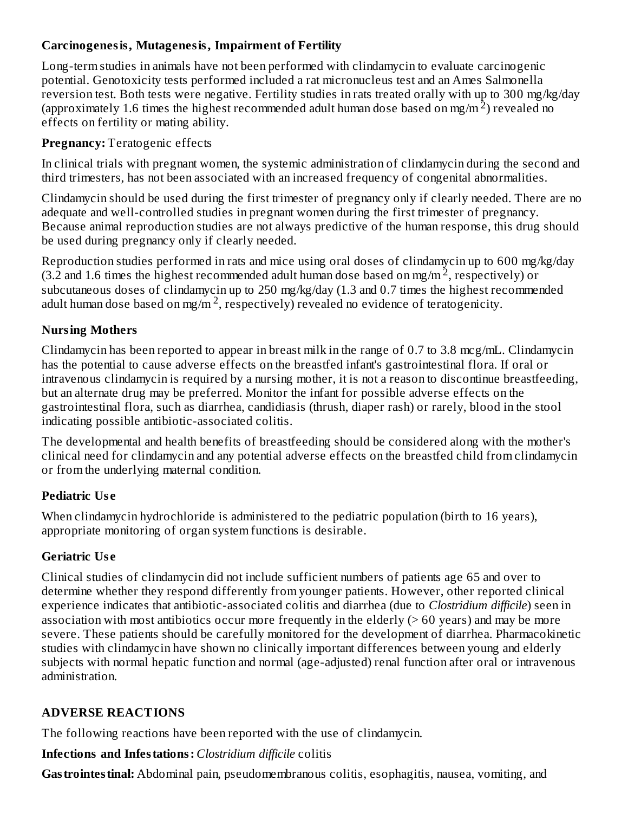## **Carcinogenesis, Mutagenesis, Impairment of Fertility**

Long-term studies in animals have not been performed with clindamycin to evaluate carcinogenic potential. Genotoxicity tests performed included a rat micronucleus test and an Ames Salmonella reversion test. Both tests were negative. Fertility studies in rats treated orally with up to 300 mg/kg/day (approximately 1.6 times the highest recommended adult human dose based on mg/m<sup>2</sup>) revealed no effects on fertility or mating ability.

## **Pregnancy:** Teratogenic effects

In clinical trials with pregnant women, the systemic administration of clindamycin during the second and third trimesters, has not been associated with an increased frequency of congenital abnormalities.

Clindamycin should be used during the first trimester of pregnancy only if clearly needed. There are no adequate and well-controlled studies in pregnant women during the first trimester of pregnancy. Because animal reproduction studies are not always predictive of the human response, this drug should be used during pregnancy only if clearly needed.

Reproduction studies performed in rats and mice using oral doses of clindamycin up to 600 mg/kg/day (3.2 and 1.6 times the highest recommended adult human dose based on mg/m<sup>2</sup>, respectively) or subcutaneous doses of clindamycin up to 250 mg/kg/day (1.3 and 0.7 times the highest recommended adult human dose based on mg/m<sup>2</sup>, respectively) revealed no evidence of teratogenicity.

# **Nursing Mothers**

Clindamycin has been reported to appear in breast milk in the range of 0.7 to 3.8 mcg/mL. Clindamycin has the potential to cause adverse effects on the breastfed infant's gastrointestinal flora. If oral or intravenous clindamycin is required by a nursing mother, it is not a reason to discontinue breastfeeding, but an alternate drug may be preferred. Monitor the infant for possible adverse effects on the gastrointestinal flora, such as diarrhea, candidiasis (thrush, diaper rash) or rarely, blood in the stool indicating possible antibiotic-associated colitis.

The developmental and health benefits of breastfeeding should be considered along with the mother's clinical need for clindamycin and any potential adverse effects on the breastfed child from clindamycin or from the underlying maternal condition.

# **Pediatric Us e**

When clindamycin hydrochloride is administered to the pediatric population (birth to 16 years), appropriate monitoring of organ system functions is desirable.

## **Geriatric Us e**

Clinical studies of clindamycin did not include sufficient numbers of patients age 65 and over to determine whether they respond differently from younger patients. However, other reported clinical experience indicates that antibiotic-associated colitis and diarrhea (due to *Clostridium difficile*) seen in association with most antibiotics occur more frequently in the elderly  $(> 60$  years) and may be more severe. These patients should be carefully monitored for the development of diarrhea. Pharmacokinetic studies with clindamycin have shown no clinically important differences between young and elderly subjects with normal hepatic function and normal (age-adjusted) renal function after oral or intravenous administration.

# **ADVERSE REACTIONS**

The following reactions have been reported with the use of clindamycin.

**Infections and Infestations:** *Clostridium difficile* colitis

**Gastrointestinal:** Abdominal pain, pseudomembranous colitis, esophagitis, nausea, vomiting, and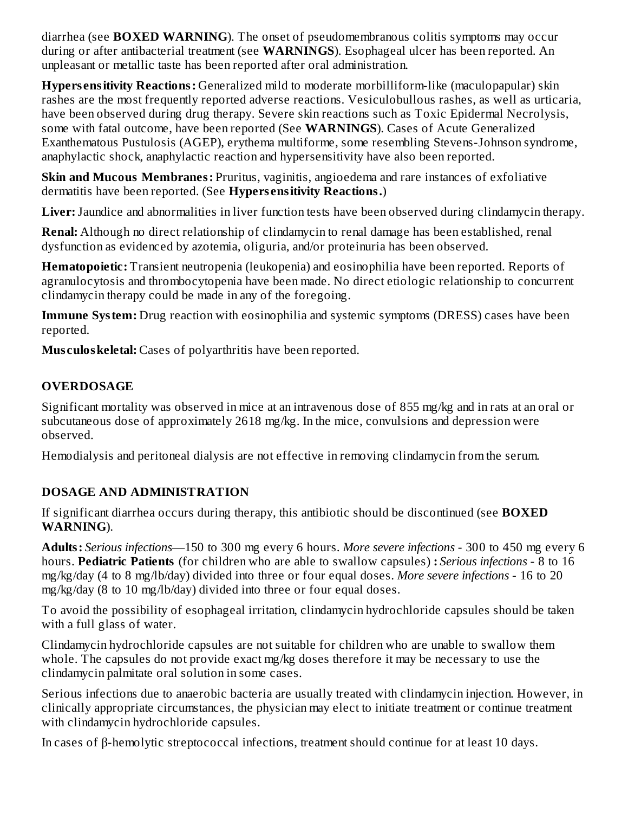diarrhea (see **BOXED WARNING**). The onset of pseudomembranous colitis symptoms may occur during or after antibacterial treatment (see **WARNINGS**). Esophageal ulcer has been reported. An unpleasant or metallic taste has been reported after oral administration.

**Hypers ensitivity Reactions:** Generalized mild to moderate morbilliform-like (maculopapular) skin rashes are the most frequently reported adverse reactions. Vesiculobullous rashes, as well as urticaria, have been observed during drug therapy. Severe skin reactions such as Toxic Epidermal Necrolysis, some with fatal outcome, have been reported (See **WARNINGS**). Cases of Acute Generalized Exanthematous Pustulosis (AGEP), erythema multiforme, some resembling Stevens-Johnson syndrome, anaphylactic shock, anaphylactic reaction and hypersensitivity have also been reported.

**Skin and Mucous Membranes:** Pruritus, vaginitis, angioedema and rare instances of exfoliative dermatitis have been reported. (See **Hypers ensitivity Reactions.**)

**Liver:**Jaundice and abnormalities in liver function tests have been observed during clindamycin therapy.

**Renal:** Although no direct relationship of clindamycin to renal damage has been established, renal dysfunction as evidenced by azotemia, oliguria, and/or proteinuria has been observed.

**Hematopoietic:** Transient neutropenia (leukopenia) and eosinophilia have been reported. Reports of agranulocytosis and thrombocytopenia have been made. No direct etiologic relationship to concurrent clindamycin therapy could be made in any of the foregoing.

**Immune System:** Drug reaction with eosinophilia and systemic symptoms (DRESS) cases have been reported.

**Mus culoskeletal:** Cases of polyarthritis have been reported.

# **OVERDOSAGE**

Significant mortality was observed in mice at an intravenous dose of 855 mg/kg and in rats at an oral or subcutaneous dose of approximately 2618 mg/kg. In the mice, convulsions and depression were observed.

Hemodialysis and peritoneal dialysis are not effective in removing clindamycin from the serum.

# **DOSAGE AND ADMINISTRATION**

If significant diarrhea occurs during therapy, this antibiotic should be discontinued (see **BOXED WARNING**).

**Adults:** *Serious infections*—150 to 300 mg every 6 hours. *More severe infections* - 300 to 450 mg every 6 hours. **Pediatric Patients** (for children who are able to swallow capsules) **:** *Serious infections* - 8 to 16 mg/kg/day (4 to 8 mg/lb/day) divided into three or four equal doses. *More severe infections* - 16 to 20 mg/kg/day (8 to 10 mg/lb/day) divided into three or four equal doses.

To avoid the possibility of esophageal irritation, clindamycin hydrochloride capsules should be taken with a full glass of water.

Clindamycin hydrochloride capsules are not suitable for children who are unable to swallow them whole. The capsules do not provide exact mg/kg doses therefore it may be necessary to use the clindamycin palmitate oral solution in some cases.

Serious infections due to anaerobic bacteria are usually treated with clindamycin injection. However, in clinically appropriate circumstances, the physician may elect to initiate treatment or continue treatment with clindamycin hydrochloride capsules.

In cases of β-hemolytic streptococcal infections, treatment should continue for at least 10 days.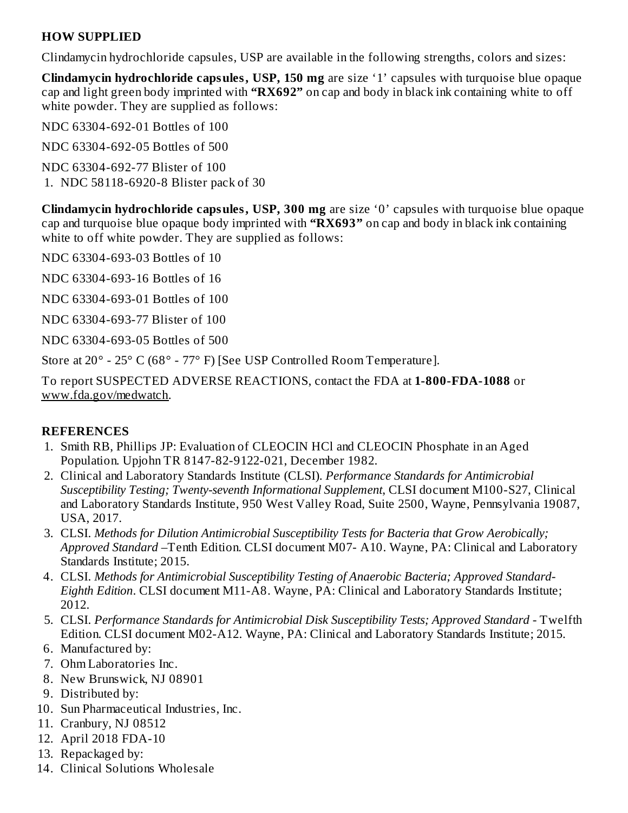## **HOW SUPPLIED**

Clindamycin hydrochloride capsules, USP are available in the following strengths, colors and sizes:

**Clindamycin hydrochloride capsules, USP, 150 mg** are size '1' capsules with turquoise blue opaque cap and light green body imprinted with **"RX692"** on cap and body in black ink containing white to off white powder. They are supplied as follows:

NDC 63304-692-01 Bottles of 100

NDC 63304-692-05 Bottles of 500

NDC 63304-692-77 Blister of 100 1. NDC 58118-6920-8 Blister pack of 30

**Clindamycin hydrochloride capsules, USP, 300 mg** are size '0' capsules with turquoise blue opaque cap and turquoise blue opaque body imprinted with **"RX693"** on cap and body in black ink containing white to off white powder. They are supplied as follows:

NDC 63304-693-03 Bottles of 10

NDC 63304-693-16 Bottles of 16

NDC 63304-693-01 Bottles of 100

NDC 63304-693-77 Blister of 100

NDC 63304-693-05 Bottles of 500

Store at 20° - 25° C (68° - 77° F) [See USP Controlled Room Temperature].

To report SUSPECTED ADVERSE REACTIONS, contact the FDA at **1-800-FDA-1088** or www.fda.gov/medwatch.

## **REFERENCES**

- 1. Smith RB, Phillips JP: Evaluation of CLEOCIN HCl and CLEOCIN Phosphate in an Aged Population. Upjohn TR 8147-82-9122-021, December 1982.
- 2. Clinical and Laboratory Standards Institute (CLSI). *Performance Standards for Antimicrobial Susceptibility Testing; Twenty-seventh Informational Supplement*, CLSI document M100-S27, Clinical and Laboratory Standards Institute, 950 West Valley Road, Suite 2500, Wayne, Pennsylvania 19087, USA, 2017.
- 3. CLSI. *Methods for Dilution Antimicrobial Susceptibility Tests for Bacteria that Grow Aerobically; Approved Standard* –Tenth Edition. CLSI document M07- A10. Wayne, PA: Clinical and Laboratory Standards Institute; 2015.
- 4. CLSI. *Methods for Antimicrobial Susceptibility Testing of Anaerobic Bacteria; Approved Standard-Eighth Edition*. CLSI document M11-A8. Wayne, PA: Clinical and Laboratory Standards Institute; 2012.
- 5. CLSI. *Performance Standards for Antimicrobial Disk Susceptibility Tests; Approved Standard -* Twelfth Edition. CLSI document M02-A12. Wayne, PA: Clinical and Laboratory Standards Institute; 2015.
- 6. Manufactured by:
- 7. Ohm Laboratories Inc.
- 8. New Brunswick, NJ 08901
- 9. Distributed by:
- 10. Sun Pharmaceutical Industries, Inc.
- 11. Cranbury, NJ 08512
- 12. April 2018 FDA-10
- 13. Repackaged by:
- 14. Clinical Solutions Wholesale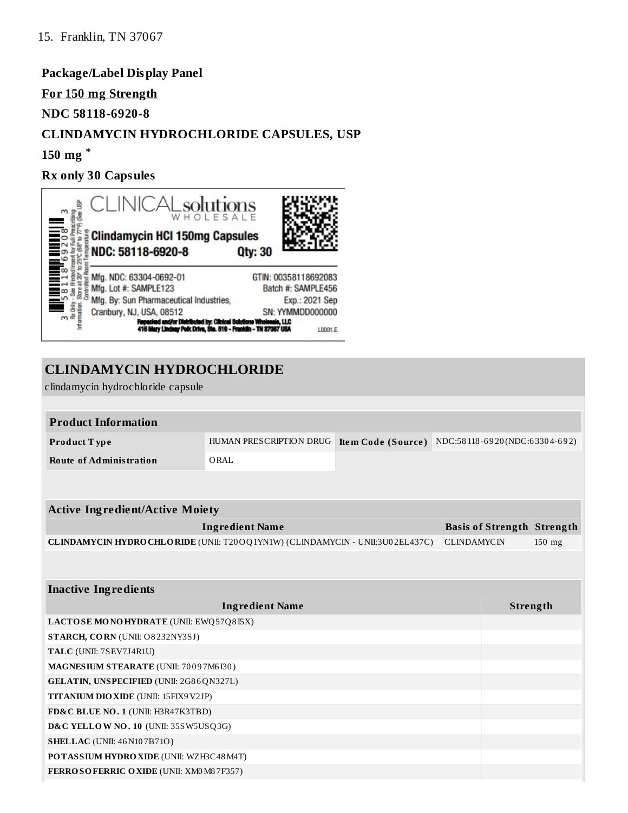#### **Package/Label Display Panel**

### **For 150 mg Strength**

**NDC 58118-6920-8**

### **CLINDAMYCIN HYDROCHLORIDE CAPSULES, USP**

**150 mg \***

**Rx only 30 Capsules**



| <b>CLINDAMYCIN HYDROCHLORIDE</b>                                              |                                                                          |  |                    |                                   |          |  |
|-------------------------------------------------------------------------------|--------------------------------------------------------------------------|--|--------------------|-----------------------------------|----------|--|
| clindamycin hydrochloride capsule                                             |                                                                          |  |                    |                                   |          |  |
|                                                                               |                                                                          |  |                    |                                   |          |  |
| <b>Product Information</b>                                                    |                                                                          |  |                    |                                   |          |  |
| Product Type                                                                  | HUMAN PRESCRIPTION DRUG Item Code (Source) NDC:58118-6920(NDC:63304-692) |  |                    |                                   |          |  |
| <b>Route of Administration</b>                                                | ORAL                                                                     |  |                    |                                   |          |  |
|                                                                               |                                                                          |  |                    |                                   |          |  |
|                                                                               |                                                                          |  |                    |                                   |          |  |
| <b>Active Ingredient/Active Moiety</b>                                        |                                                                          |  |                    |                                   |          |  |
|                                                                               | <b>Ingredient Name</b>                                                   |  |                    | <b>Basis of Strength Strength</b> |          |  |
| CLINDAMYCIN HYDRO CHLORIDE (UNII: T20OQ1YN1W) (CLINDAMYCIN - UNII:3U02EL437C) |                                                                          |  | <b>CLINDAMYCIN</b> |                                   | 150 mg   |  |
|                                                                               |                                                                          |  |                    |                                   |          |  |
|                                                                               |                                                                          |  |                    |                                   |          |  |
| <b>Inactive Ingredients</b>                                                   |                                                                          |  |                    |                                   |          |  |
| <b>Ingredient Name</b>                                                        |                                                                          |  |                    |                                   | Strength |  |
| LACTOSE MONOHYDRATE (UNII: EWQ57Q8I5X)                                        |                                                                          |  |                    |                                   |          |  |
| STARCH, CORN (UNII: O8232NY3SJ)                                               |                                                                          |  |                    |                                   |          |  |
| TALC (UNII: 7SEV7J4R1U)                                                       |                                                                          |  |                    |                                   |          |  |
| MAGNESIUM STEARATE (UNII: 70097M6I30)                                         |                                                                          |  |                    |                                   |          |  |
| <b>GELATIN, UNSPECIFIED (UNII: 2G86QN327L)</b>                                |                                                                          |  |                    |                                   |          |  |
| TITANIUM DIO XIDE (UNII: 15FIX9V2JP)                                          |                                                                          |  |                    |                                   |          |  |
| FD&C BLUE NO. 1 (UNII: H3R47K3TBD)                                            |                                                                          |  |                    |                                   |          |  |
| D&C YELLOW NO. 10 (UNII: 35SW5USQ3G)                                          |                                                                          |  |                    |                                   |          |  |
| <b>SHELLAC</b> (UNII: 46 N107B71O)                                            |                                                                          |  |                    |                                   |          |  |
| POTASSIUM HYDRO XIDE (UNII: WZH3C48M4T)                                       |                                                                          |  |                    |                                   |          |  |
| FERROSOFERRIC OXIDE (UNII: XM0 M8 7F357)                                      |                                                                          |  |                    |                                   |          |  |
|                                                                               |                                                                          |  |                    |                                   |          |  |